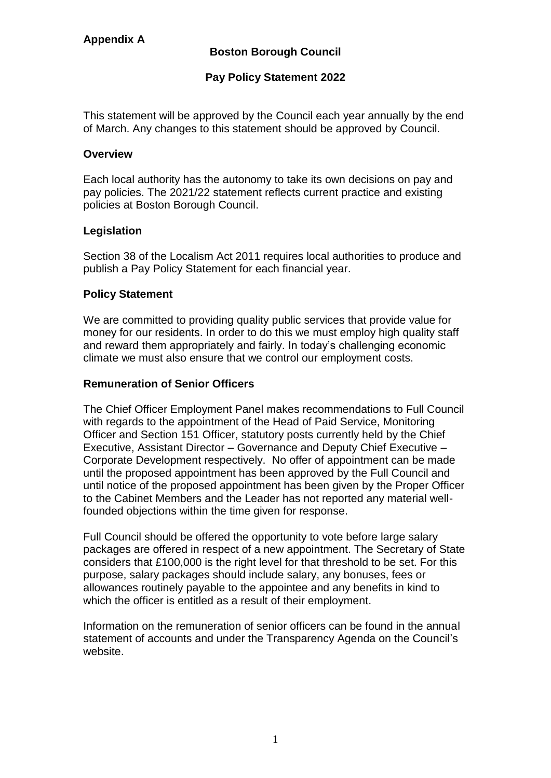# **Pay Policy Statement 2022**

This statement will be approved by the Council each year annually by the end of March. Any changes to this statement should be approved by Council.

## **Overview**

Each local authority has the autonomy to take its own decisions on pay and pay policies. The 2021/22 statement reflects current practice and existing policies at Boston Borough Council.

## **Legislation**

Section 38 of the Localism Act 2011 requires local authorities to produce and publish a Pay Policy Statement for each financial year.

#### **Policy Statement**

We are committed to providing quality public services that provide value for money for our residents. In order to do this we must employ high quality staff and reward them appropriately and fairly. In today's challenging economic climate we must also ensure that we control our employment costs.

# **Remuneration of Senior Officers**

The Chief Officer Employment Panel makes recommendations to Full Council with regards to the appointment of the Head of Paid Service, Monitoring Officer and Section 151 Officer, statutory posts currently held by the Chief Executive, Assistant Director – Governance and Deputy Chief Executive – Corporate Development respectively. No offer of appointment can be made until the proposed appointment has been approved by the Full Council and until notice of the proposed appointment has been given by the Proper Officer to the Cabinet Members and the Leader has not reported any material wellfounded objections within the time given for response.

Full Council should be offered the opportunity to vote before large salary packages are offered in respect of a new appointment. The Secretary of State considers that £100,000 is the right level for that threshold to be set. For this purpose, salary packages should include salary, any bonuses, fees or allowances routinely payable to the appointee and any benefits in kind to which the officer is entitled as a result of their employment.

Information on the remuneration of senior officers can be found in the annual statement of accounts and under the Transparency Agenda on the Council's website.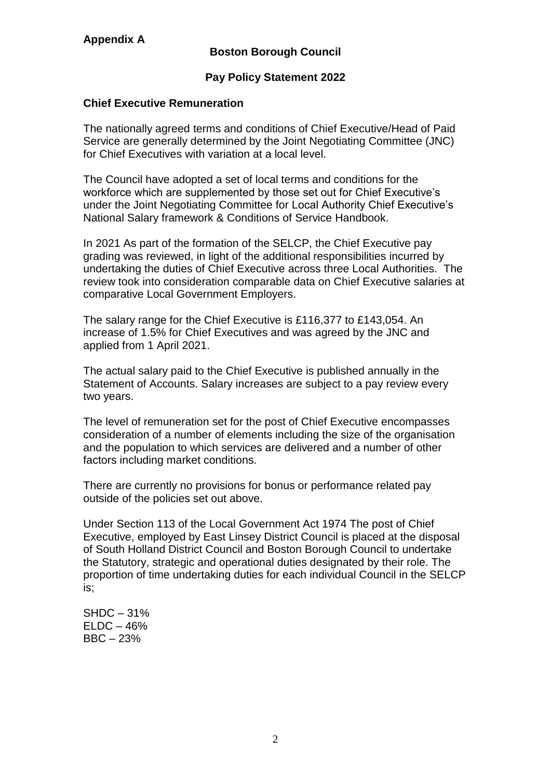## **Pay Policy Statement 2022**

### **Chief Executive Remuneration**

The nationally agreed terms and conditions of Chief Executive/Head of Paid Service are generally determined by the Joint Negotiating Committee (JNC) for Chief Executives with variation at a local level.

The Council have adopted a set of local terms and conditions for the workforce which are supplemented by those set out for Chief Executive's under the Joint Negotiating Committee for Local Authority Chief Executive's National Salary framework & Conditions of Service Handbook.

In 2021 As part of the formation of the SELCP, the Chief Executive pay grading was reviewed, in light of the additional responsibilities incurred by undertaking the duties of Chief Executive across three Local Authorities. The review took into consideration comparable data on Chief Executive salaries at comparative Local Government Employers.

The salary range for the Chief Executive is £116,377 to £143,054. An increase of 1.5% for Chief Executives and was agreed by the JNC and applied from 1 April 2021.

The actual salary paid to the Chief Executive is published annually in the Statement of Accounts. Salary increases are subject to a pay review every two years.

The level of remuneration set for the post of Chief Executive encompasses consideration of a number of elements including the size of the organisation and the population to which services are delivered and a number of other factors including market conditions.

There are currently no provisions for bonus or performance related pay outside of the policies set out above.

Under Section 113 of the Local Government Act 1974 The post of Chief Executive, employed by East Linsey District Council is placed at the disposal of South Holland District Council and Boston Borough Council to undertake the Statutory, strategic and operational duties designated by their role. The proportion of time undertaking duties for each individual Council in the SELCP is;

SHDC – 31%  $ELDC - 46%$ BBC – 23%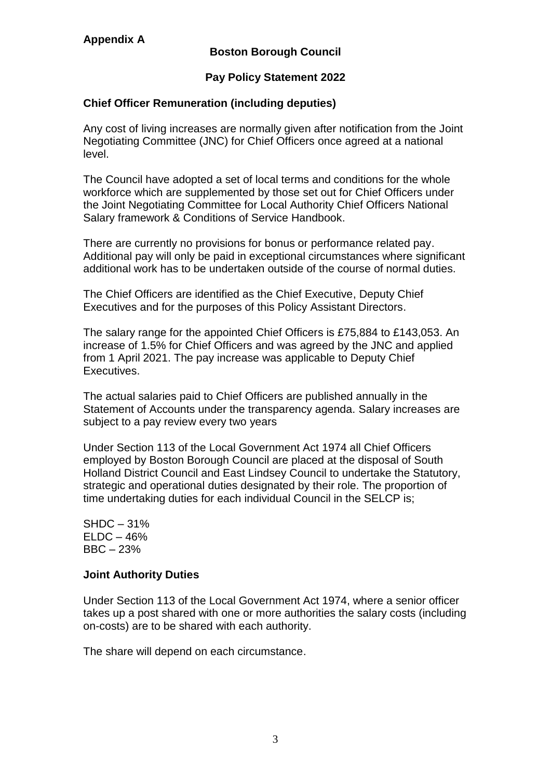# **Pay Policy Statement 2022**

## **Chief Officer Remuneration (including deputies)**

Any cost of living increases are normally given after notification from the Joint Negotiating Committee (JNC) for Chief Officers once agreed at a national level.

The Council have adopted a set of local terms and conditions for the whole workforce which are supplemented by those set out for Chief Officers under the Joint Negotiating Committee for Local Authority Chief Officers National Salary framework & Conditions of Service Handbook.

There are currently no provisions for bonus or performance related pay. Additional pay will only be paid in exceptional circumstances where significant additional work has to be undertaken outside of the course of normal duties.

The Chief Officers are identified as the Chief Executive, Deputy Chief Executives and for the purposes of this Policy Assistant Directors.

The salary range for the appointed Chief Officers is £75,884 to £143,053. An increase of 1.5% for Chief Officers and was agreed by the JNC and applied from 1 April 2021. The pay increase was applicable to Deputy Chief Executives.

The actual salaries paid to Chief Officers are published annually in the Statement of Accounts under the transparency agenda. Salary increases are subject to a pay review every two years

Under Section 113 of the Local Government Act 1974 all Chief Officers employed by Boston Borough Council are placed at the disposal of South Holland District Council and East Lindsey Council to undertake the Statutory, strategic and operational duties designated by their role. The proportion of time undertaking duties for each individual Council in the SELCP is;

SHDC – 31%  $ELDC - 46%$ BBC – 23%

### **Joint Authority Duties**

Under Section 113 of the Local Government Act 1974, where a senior officer takes up a post shared with one or more authorities the salary costs (including on-costs) are to be shared with each authority.

The share will depend on each circumstance.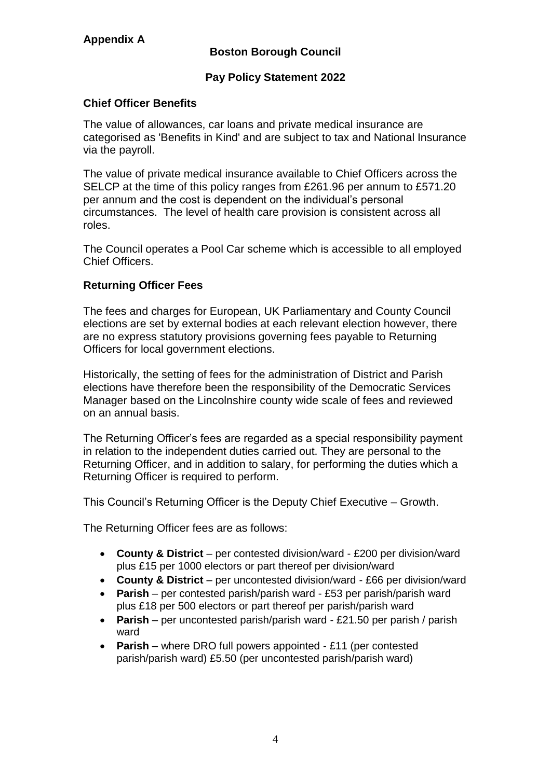# **Appendix A**

# **Boston Borough Council**

## **Pay Policy Statement 2022**

### **Chief Officer Benefits**

The value of allowances, car loans and private medical insurance are categorised as 'Benefits in Kind' and are subject to tax and National Insurance via the payroll.

The value of private medical insurance available to Chief Officers across the SELCP at the time of this policy ranges from £261.96 per annum to £571.20 per annum and the cost is dependent on the individual's personal circumstances. The level of health care provision is consistent across all roles.

The Council operates a Pool Car scheme which is accessible to all employed Chief Officers.

## **Returning Officer Fees**

The fees and charges for European, UK Parliamentary and County Council elections are set by external bodies at each relevant election however, there are no express statutory provisions governing fees payable to Returning Officers for local government elections.

Historically, the setting of fees for the administration of District and Parish elections have therefore been the responsibility of the Democratic Services Manager based on the Lincolnshire county wide scale of fees and reviewed on an annual basis.

The Returning Officer's fees are regarded as a special responsibility payment in relation to the independent duties carried out. They are personal to the Returning Officer, and in addition to salary, for performing the duties which a Returning Officer is required to perform.

This Council's Returning Officer is the Deputy Chief Executive – Growth.

The Returning Officer fees are as follows:

- **County & District**  per contested division/ward £200 per division/ward plus £15 per 1000 electors or part thereof per division/ward
- **County & District**  per uncontested division/ward £66 per division/ward
- **Parish**  per contested parish/parish ward £53 per parish/parish ward plus £18 per 500 electors or part thereof per parish/parish ward
- **Parish**  per uncontested parish/parish ward £21.50 per parish / parish ward
- **Parish** where DRO full powers appointed £11 (per contested parish/parish ward) £5.50 (per uncontested parish/parish ward)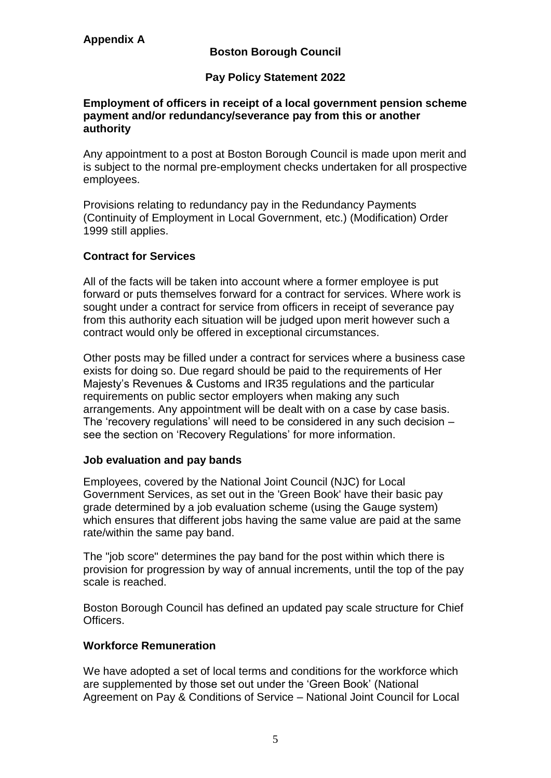# **Pay Policy Statement 2022**

#### **Employment of officers in receipt of a local government pension scheme payment and/or redundancy/severance pay from this or another authority**

Any appointment to a post at Boston Borough Council is made upon merit and is subject to the normal pre-employment checks undertaken for all prospective employees.

Provisions relating to redundancy pay in the Redundancy Payments (Continuity of Employment in Local Government, etc.) (Modification) Order 1999 still applies.

## **Contract for Services**

All of the facts will be taken into account where a former employee is put forward or puts themselves forward for a contract for services. Where work is sought under a contract for service from officers in receipt of severance pay from this authority each situation will be judged upon merit however such a contract would only be offered in exceptional circumstances.

Other posts may be filled under a contract for services where a business case exists for doing so. Due regard should be paid to the requirements of Her Majesty's Revenues & Customs and IR35 regulations and the particular requirements on public sector employers when making any such arrangements. Any appointment will be dealt with on a case by case basis. The 'recovery regulations' will need to be considered in any such decision  $$ see the section on 'Recovery Regulations' for more information.

#### **Job evaluation and pay bands**

Employees, covered by the National Joint Council (NJC) for Local Government Services, as set out in the 'Green Book' have their basic pay grade determined by a job evaluation scheme (using the Gauge system) which ensures that different jobs having the same value are paid at the same rate/within the same pay band.

The "job score" determines the pay band for the post within which there is provision for progression by way of annual increments, until the top of the pay scale is reached.

Boston Borough Council has defined an updated pay scale structure for Chief Officers.

# **Workforce Remuneration**

We have adopted a set of local terms and conditions for the workforce which are supplemented by those set out under the 'Green Book' (National Agreement on Pay & Conditions of Service – National Joint Council for Local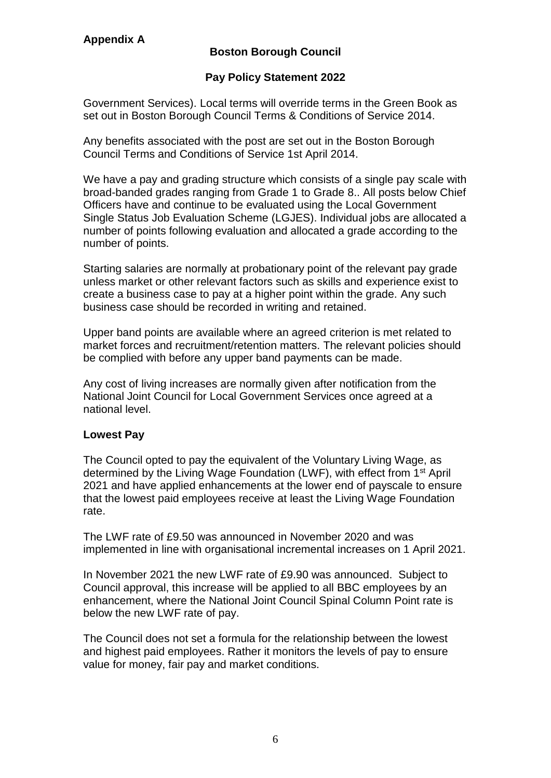## **Pay Policy Statement 2022**

Government Services). Local terms will override terms in the Green Book as set out in Boston Borough Council Terms & Conditions of Service 2014.

Any benefits associated with the post are set out in the Boston Borough Council Terms and Conditions of Service 1st April 2014.

We have a pay and grading structure which consists of a single pay scale with broad-banded grades ranging from Grade 1 to Grade 8.. All posts below Chief Officers have and continue to be evaluated using the Local Government Single Status Job Evaluation Scheme (LGJES). Individual jobs are allocated a number of points following evaluation and allocated a grade according to the number of points.

Starting salaries are normally at probationary point of the relevant pay grade unless market or other relevant factors such as skills and experience exist to create a business case to pay at a higher point within the grade. Any such business case should be recorded in writing and retained.

Upper band points are available where an agreed criterion is met related to market forces and recruitment/retention matters. The relevant policies should be complied with before any upper band payments can be made.

Any cost of living increases are normally given after notification from the National Joint Council for Local Government Services once agreed at a national level.

#### **Lowest Pay**

The Council opted to pay the equivalent of the Voluntary Living Wage, as determined by the Living Wage Foundation (LWF), with effect from 1st April 2021 and have applied enhancements at the lower end of payscale to ensure that the lowest paid employees receive at least the Living Wage Foundation rate.

The LWF rate of £9.50 was announced in November 2020 and was implemented in line with organisational incremental increases on 1 April 2021.

In November 2021 the new LWF rate of £9.90 was announced. Subject to Council approval, this increase will be applied to all BBC employees by an enhancement, where the National Joint Council Spinal Column Point rate is below the new LWF rate of pay.

The Council does not set a formula for the relationship between the lowest and highest paid employees. Rather it monitors the levels of pay to ensure value for money, fair pay and market conditions.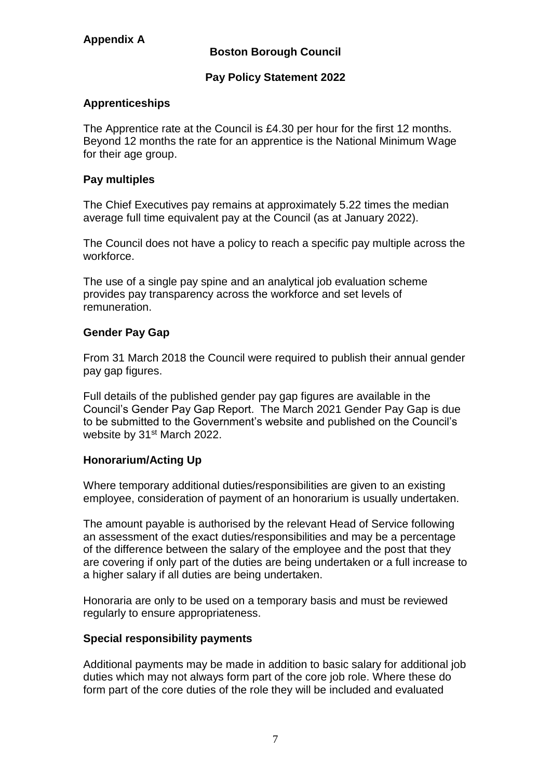## **Pay Policy Statement 2022**

## **Apprenticeships**

The Apprentice rate at the Council is £4.30 per hour for the first 12 months. Beyond 12 months the rate for an apprentice is the National Minimum Wage for their age group.

### **Pay multiples**

The Chief Executives pay remains at approximately 5.22 times the median average full time equivalent pay at the Council (as at January 2022).

The Council does not have a policy to reach a specific pay multiple across the workforce.

The use of a single pay spine and an analytical job evaluation scheme provides pay transparency across the workforce and set levels of remuneration.

## **Gender Pay Gap**

From 31 March 2018 the Council were required to publish their annual gender pay gap figures.

Full details of the published gender pay gap figures are available in the Council's Gender Pay Gap Report. The March 2021 Gender Pay Gap is due to be submitted to the Government's website and published on the Council's website by 31<sup>st</sup> March 2022.

#### **Honorarium/Acting Up**

Where temporary additional duties/responsibilities are given to an existing employee, consideration of payment of an honorarium is usually undertaken.

The amount payable is authorised by the relevant Head of Service following an assessment of the exact duties/responsibilities and may be a percentage of the difference between the salary of the employee and the post that they are covering if only part of the duties are being undertaken or a full increase to a higher salary if all duties are being undertaken.

Honoraria are only to be used on a temporary basis and must be reviewed regularly to ensure appropriateness.

# **Special responsibility payments**

Additional payments may be made in addition to basic salary for additional job duties which may not always form part of the core job role. Where these do form part of the core duties of the role they will be included and evaluated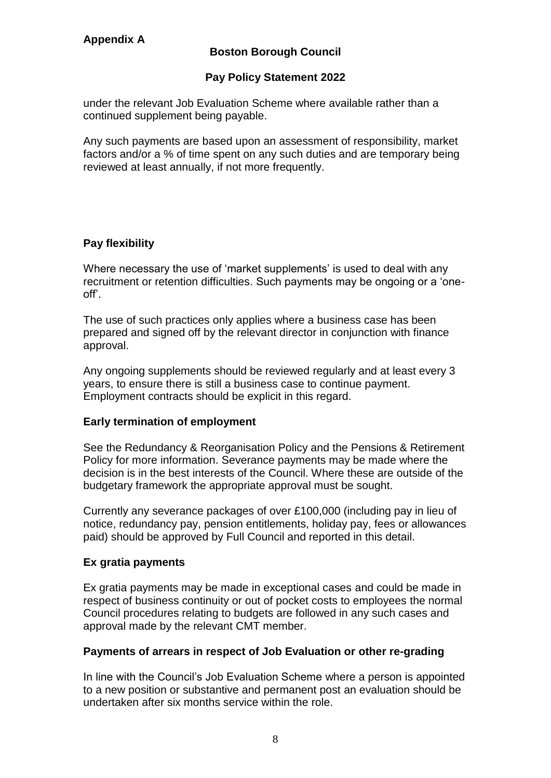## **Pay Policy Statement 2022**

under the relevant Job Evaluation Scheme where available rather than a continued supplement being payable.

Any such payments are based upon an assessment of responsibility, market factors and/or a % of time spent on any such duties and are temporary being reviewed at least annually, if not more frequently.

# **Pay flexibility**

Where necessary the use of 'market supplements' is used to deal with any recruitment or retention difficulties. Such payments may be ongoing or a 'oneoff'.

The use of such practices only applies where a business case has been prepared and signed off by the relevant director in conjunction with finance approval.

Any ongoing supplements should be reviewed regularly and at least every 3 years, to ensure there is still a business case to continue payment. Employment contracts should be explicit in this regard.

#### **Early termination of employment**

See the Redundancy & Reorganisation Policy and the Pensions & Retirement Policy for more information. Severance payments may be made where the decision is in the best interests of the Council. Where these are outside of the budgetary framework the appropriate approval must be sought.

Currently any severance packages of over £100,000 (including pay in lieu of notice, redundancy pay, pension entitlements, holiday pay, fees or allowances paid) should be approved by Full Council and reported in this detail.

#### **Ex gratia payments**

Ex gratia payments may be made in exceptional cases and could be made in respect of business continuity or out of pocket costs to employees the normal Council procedures relating to budgets are followed in any such cases and approval made by the relevant CMT member.

#### **Payments of arrears in respect of Job Evaluation or other re-grading**

In line with the Council's Job Evaluation Scheme where a person is appointed to a new position or substantive and permanent post an evaluation should be undertaken after six months service within the role.